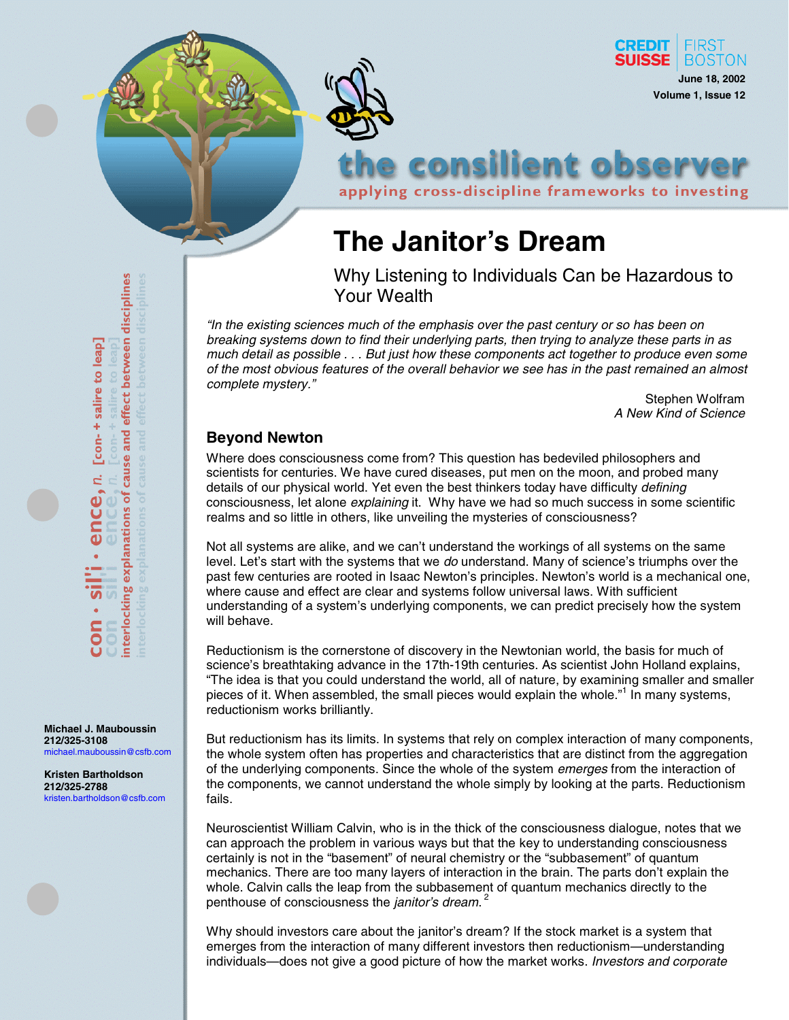







# **The Janitor's Dream**

Why Listening to Individuals Can be Hazardous to Your Wealth

*"In the existing sciences much of the emphasis over the past century or so has been on breaking systems down to find their underlying parts, then trying to analyze these parts in as much detail as possible . . . But just how these components act together to produce even some of the most obvious features of the overall behavior we see has in the past remained an almost complete mystery."*

> Stephen Wolfram *A New Kind of Science*

### **Beyond Newton**

Where does consciousness come from? This question has bedeviled philosophers and scientists for centuries. We have cured diseases, put men on the moon, and probed many details of our physical world. Yet even the best thinkers today have difficulty *defining* consciousness, let alone *explaining* it. Why have we had so much success in some scientific realms and so little in others, like unveiling the mysteries of consciousness?

Not all systems are alike, and we can't understand the workings of all systems on the same level. Let's start with the systems that we *do* understand. Many of science's triumphs over the past few centuries are rooted in Isaac Newton's principles. Newton's world is a mechanical one, where cause and effect are clear and systems follow universal laws. With sufficient understanding of a system's underlying components, we can predict precisely how the system will behave.

Reductionism is the cornerstone of discovery in the Newtonian world, the basis for much of science's breathtaking advance in the 17th-19th centuries. As scientist John Holland explains, "The idea is that you could understand the world, all of nature, by examining smaller and smaller pieces of it. When assembled, the small pieces would explain the whole."<sup>1</sup> In many systems, reductionism works brilliantly.

But reductionism has its limits. In systems that rely on complex interaction of many components, the whole system often has properties and characteristics that are distinct from the aggregation of the underlying components. Since the whole of the system *emerges* from the interaction of the components, we cannot understand the whole simply by looking at the parts. Reductionism fails.

Neuroscientist William Calvin, who is in the thick of the consciousness dialogue, notes that we can approach the problem in various ways but that the key to understanding consciousness certainly is not in the "basement" of neural chemistry or the "subbasement" of quantum mechanics. There are too many layers of interaction in the brain. The parts don't explain the whole. Calvin calls the leap from the subbasement of quantum mechanics directly to the penthouse of consciousness the *janitor's dream*. 2

Why should investors care about the janitor's dream? If the stock market is a system that emerges from the interaction of many different investors then reductionism—understanding individuals—does not give a good picture of how the market works. *Investors and corporate*

**Michael J. Mauboussin 212/325-3108** michael.mauboussin@csfb.com

**Kristen Bartholdson 212/325-2788** kristen.bartholdson@csfb.com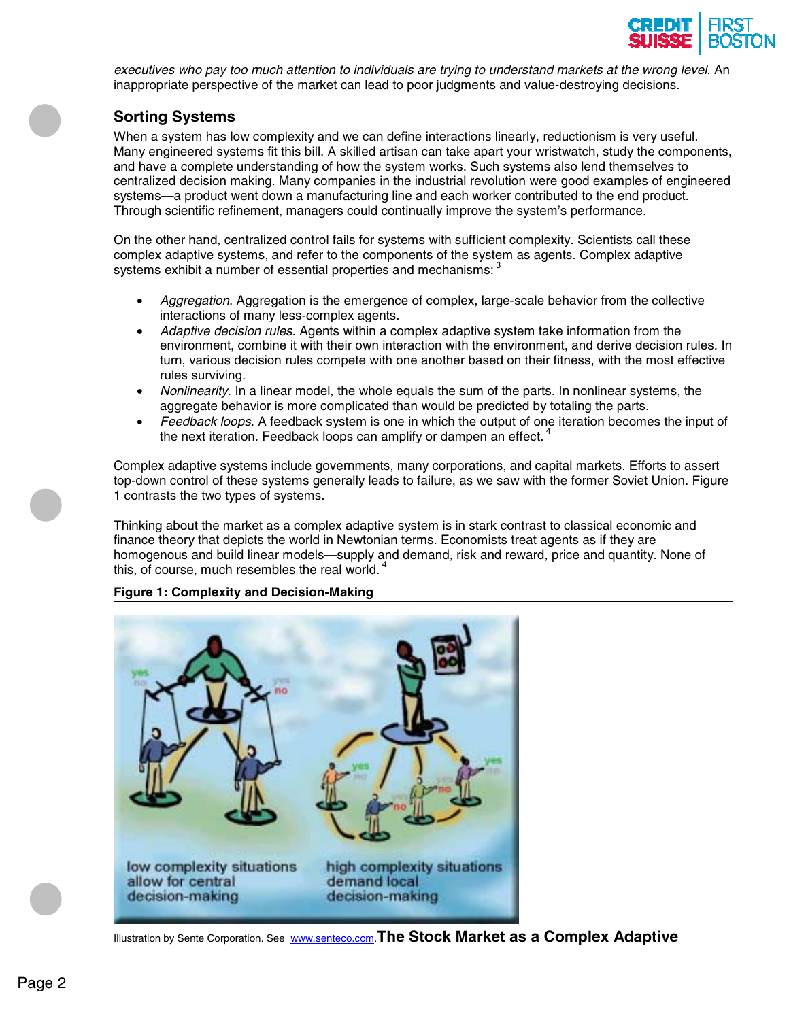

*executives who pay too much attention to individuals are trying to understand markets at the wrong level.* An inappropriate perspective of the market can lead to poor judgments and value-destroying decisions.

# **Sorting Systems**

When a system has low complexity and we can define interactions linearly, reductionism is very useful. Many engineered systems fit this bill. A skilled artisan can take apart your wristwatch, study the components, and have a complete understanding of how the system works. Such systems also lend themselves to centralized decision making. Many companies in the industrial revolution were good examples of engineered systems—a product went down a manufacturing line and each worker contributed to the end product. Through scientific refinement, managers could continually improve the system's performance.

On the other hand, centralized control fails for systems with sufficient complexity. Scientists call these complex adaptive systems, and refer to the components of the system as agents. Complex adaptive systems exhibit a number of essential properties and mechanisms: 3

- *Aggregation*. Aggregation is the emergence of complex, large-scale behavior from the collective interactions of many less-complex agents.
- *Adaptive decision rules*. Agents within a complex adaptive system take information from the environment, combine it with their own interaction with the environment, and derive decision rules. In turn, various decision rules compete with one another based on their fitness, with the most effective rules surviving.
- *Nonlinearity*. In a linear model, the whole equals the sum of the parts. In nonlinear systems, the aggregate behavior is more complicated than would be predicted by totaling the parts.
- *Feedback loops*. A feedback system is one in which the output of one iteration becomes the input of the next iteration. Feedback loops can amplify or dampen an effect.<sup>4</sup>

Complex adaptive systems include governments, many corporations, and capital markets. Efforts to assert top-down control of these systems generally leads to failure, as we saw with the former Soviet Union. Figure 1 contrasts the two types of systems.

Thinking about the market as a complex adaptive system is in stark contrast to classical economic and finance theory that depicts the world in Newtonian terms. Economists treat agents as if they are homogenous and build linear models—supply and demand, risk and reward, price and quantity. None of this, of course, much resembles the real world.  $4$ 

#### **Figure 1: Complexity and Decision-Making**



Illustration by Sente Corporation. See www.senteco.com.**The Stock Market as a Complex Adaptive**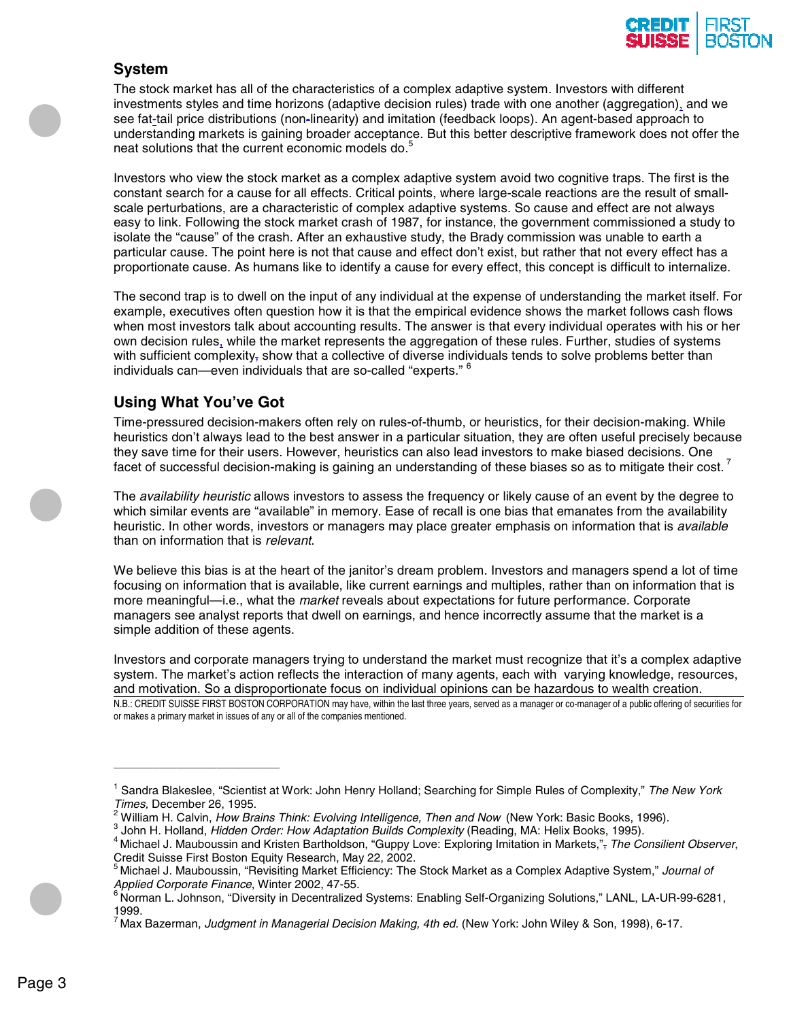

## **System**

The stock market has all of the characteristics of a complex adaptive system. Investors with different investments styles and time horizons (adaptive decision rules) trade with one another (aggregation), and we see fat-tail price distributions (non-linearity) and imitation (feedback loops). An agent-based approach to understanding markets is gaining broader acceptance. But this better descriptive framework does not offer the neat solutions that the current economic models do.<sup>5</sup>

Investors who view the stock market as a complex adaptive system avoid two cognitive traps. The first is the constant search for a cause for all effects. Critical points, where large-scale reactions are the result of smallscale perturbations, are a characteristic of complex adaptive systems. So cause and effect are not always easy to link. Following the stock market crash of 1987, for instance, the government commissioned a study to isolate the "cause" of the crash. After an exhaustive study, the Brady commission was unable to earth a particular cause. The point here is not that cause and effect don't exist, but rather that not every effect has a proportionate cause. As humans like to identify a cause for every effect, this concept is difficult to internalize.

The second trap is to dwell on the input of any individual at the expense of understanding the market itself. For example, executives often question how it is that the empirical evidence shows the market follows cash flows when most investors talk about accounting results. The answer is that every individual operates with his or her own decision rules, while the market represents the aggregation of these rules. Further, studies of systems with sufficient complexity, show that a collective of diverse individuals tends to solve problems better than individuals can—even individuals that are so-called "experts." <sup>6</sup>

# **Using What You've Got**

\_\_\_\_\_\_\_\_\_\_\_\_\_\_\_\_\_\_\_\_\_\_\_\_\_\_\_\_\_

Time-pressured decision-makers often rely on rules-of-thumb, or heuristics, for their decision-making. While heuristics don't always lead to the best answer in a particular situation, they are often useful precisely because they save time for their users. However, heuristics can also lead investors to make biased decisions. One facet of successful decision-making is gaining an understanding of these biases so as to mitigate their cost.<sup>7</sup>

The *availability heuristic* allows investors to assess the frequency or likely cause of an event by the degree to which similar events are "available" in memory. Ease of recall is one bias that emanates from the availability heuristic. In other words, investors or managers may place greater emphasis on information that is *available* than on information that is *relevant*.

We believe this bias is at the heart of the janitor's dream problem. Investors and managers spend a lot of time focusing on information that is available, like current earnings and multiples, rather than on information that is more meaningful—i.e., what the *market* reveals about expectations for future performance. Corporate managers see analyst reports that dwell on earnings, and hence incorrectly assume that the market is a simple addition of these agents.

Investors and corporate managers trying to understand the market must recognize that it's a complex adaptive system. The market's action reflects the interaction of many agents, each with varying knowledge, resources, and motivation. So a disproportionate focus on individual opinions can be hazardous to wealth creation.

N.B.: CREDIT SUISSE FIRST BOSTON CORPORATION may have, within the last three years, served as a manager or co-manager of a public offering of securities for or makes a primary market in issues of any or all of the companies mentioned.

<sup>1</sup> Sandra Blakeslee, "Scientist at Work: John Henry Holland; Searching for Simple Rules of Complexity," *The New York*

Times, December 26, 1995.<br><sup>2</sup> William H. Calvin, *How Brains Think: Evolving Intelligence, Then and Now* (New York: Basic Books, 1996).<br><sup>3</sup> John H. Holland, *Hidden Order: How Adaptation Builds Complexity* (Reading, MA: He Credit Suisse First Boston Equity Research, May 22, 2002.

<sup>&</sup>lt;sup>5</sup> Michael J. Mauboussin, "Revisiting Market Efficiency: The Stock Market as a Complex Adaptive System," *Journal of Applied Corporate Finance*, Winter 2002, 47-55.

*Aorman L. Johnson, "Diversity in Decentralized Systems: Enabling Self-Organizing Solutions," LANL, LA-UR-99-6281,* 1999.

<sup>7</sup> Max Bazerman, *Judgment in Managerial Decision Making, 4th ed.* (New York: John Wiley & Son, 1998), 6-17.